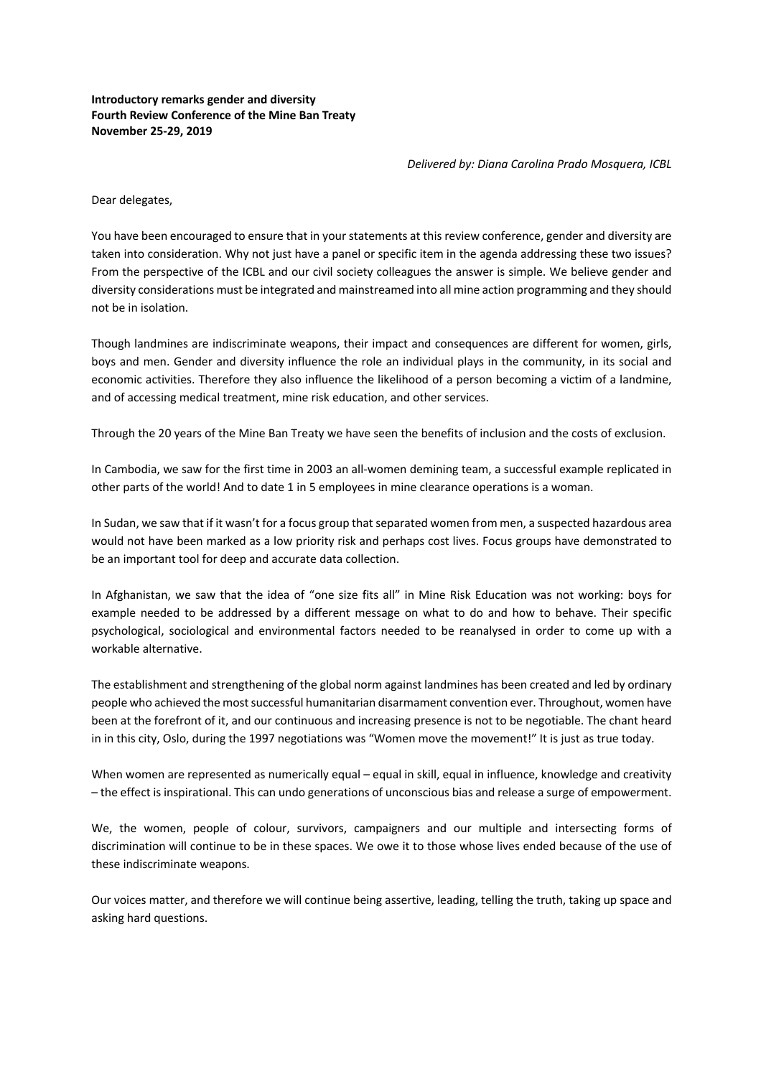## **Introductory remarks gender and diversity Fourth Review Conference of the Mine Ban Treaty November 25-29, 2019**

*Delivered by: Diana Carolina Prado Mosquera, ICBL*

Dear delegates,

You have been encouraged to ensure that in your statements at this review conference, gender and diversity are taken into consideration. Why not just have a panel or specific item in the agenda addressing these two issues? From the perspective of the ICBL and our civil society colleagues the answer is simple. We believe gender and diversity considerations must be integrated and mainstreamed into all mine action programming and they should not be in isolation.

Though landmines are indiscriminate weapons, their impact and consequences are different for women, girls, boys and men. Gender and diversity influence the role an individual plays in the community, in its social and economic activities. Therefore they also influence the likelihood of a person becoming a victim of a landmine, and of accessing medical treatment, mine risk education, and other services.

Through the 20 years of the Mine Ban Treaty we have seen the benefits of inclusion and the costs of exclusion.

In Cambodia, we saw for the first time in 2003 an all-women demining team, a successful example replicated in other parts of the world! And to date 1 in 5 employees in mine clearance operations is a woman.

In Sudan, we saw that if it wasn't for a focus group that separated women from men, a suspected hazardous area would not have been marked as a low priority risk and perhaps cost lives. Focus groups have demonstrated to be an important tool for deep and accurate data collection.

In Afghanistan, we saw that the idea of "one size fits all" in Mine Risk Education was not working: boys for example needed to be addressed by a different message on what to do and how to behave. Their specific psychological, sociological and environmental factors needed to be reanalysed in order to come up with a workable alternative.

The establishment and strengthening of the global norm against landmines has been created and led by ordinary people who achieved the most successful humanitarian disarmament convention ever. Throughout, women have been at the forefront of it, and our continuous and increasing presence is not to be negotiable. The chant heard in in this city, Oslo, during the 1997 negotiations was "Women move the movement!" It is just as true today.

When women are represented as numerically equal – equal in skill, equal in influence, knowledge and creativity – the effect is inspirational. This can undo generations of unconscious bias and release a surge of empowerment.

We, the women, people of colour, survivors, campaigners and our multiple and intersecting forms of discrimination will continue to be in these spaces. We owe it to those whose lives ended because of the use of these indiscriminate weapons.

Our voices matter, and therefore we will continue being assertive, leading, telling the truth, taking up space and asking hard questions.